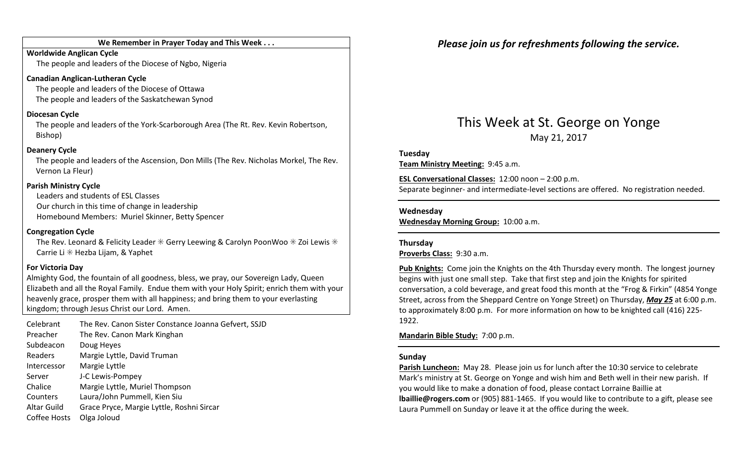#### We Remember in Prayer Today and This Week . . .

Worldwide Anglican CycleThe people and leaders of the Diocese of Ngbo, Nigeria

#### Canadian Anglican-Lutheran Cycle

The people and leaders of the Diocese of Ottawa The people and leaders of the Saskatchewan Synod

#### Diocesan Cycle

The people and leaders of the York-Scarborough Area (The Rt. Rev. Kevin Robertson, Bishop)

#### Deanery Cycle

The people and leaders of the Ascension, Don Mills (The Rev. Nicholas Morkel, The Rev. Vernon La Fleur)

#### Parish Ministry Cycle

Leaders and students of ESL Classes Our church in this time of change in leadership Homebound Members: Muriel Skinner, Betty Spencer

#### Congregation Cycle

The Rev. Leonard & Felicity Leader  $*$  Gerry Leewing & Carolyn PoonWoo  $*$  Zoi Lewis  $*$ Carrie Li  $*$  Hezba Lijam, & Yaphet

#### For Victoria Day

Almighty God, the fountain of all goodness, bless, we pray, our Sovereign Lady, Queen Elizabeth and all the Royal Family. Endue them with your Holy Spirit; enrich them with your heavenly grace, prosper them with all happiness; and bring them to your everlasting kingdom; through Jesus Christ our Lord. Amen.

| Celebrant<br>Preacher | The Rev. Canon Sister Constance Joanna Gefvert, SSJD<br>The Rev. Canon Mark Kinghan |
|-----------------------|-------------------------------------------------------------------------------------|
| Subdeacon             | Doug Heyes                                                                          |
| Readers               | Margie Lyttle, David Truman                                                         |
| Intercessor           | Margie Lyttle                                                                       |
| Server                | J-C Lewis-Pompey                                                                    |
| Chalice               | Margie Lyttle, Muriel Thompson                                                      |
| Counters              | Laura/John Pummell, Kien Siu                                                        |
| Altar Guild           | Grace Pryce, Margie Lyttle, Roshni Sircar                                           |
| Coffee Hosts          | Olga Joloud                                                                         |

Please join us for refreshments following the service.

### This Week at St. George on Yonge May 21, 2017

#### Tuesday

Team Ministry Meeting: 9:45 a.m.

ESL Conversational Classes: 12:00 noon – 2:00 p.m. Separate beginner- and intermediate-level sections are offered. No registration needed.

#### Wednesday

Wednesday Morning Group: 10:00 a.m.

#### Thursday

Proverbs Class: 9:30 a.m.

Pub Knights: Come join the Knights on the 4th Thursday every month. The longest journey begins with just one small step. Take that first step and join the Knights for spirited conversation, a cold beverage, and great food this month at the "Frog & Firkin" (4854 Yonge Street, across from the Sheppard Centre on Yonge Street) on Thursday, May 25 at 6:00 p.m. to approximately 8:00 p.m. For more information on how to be knighted call (416) 225-1922.

Mandarin Bible Study: 7:00 p.m.

### Sunday

Parish Luncheon: May 28. Please join us for lunch after the 10:30 service to celebrate Mark's ministry at St. George on Yonge and wish him and Beth well in their new parish. If you would like to make a donation of food, please contact Lorraine Baillie at lbaillie@rogers.com or (905) 881-1465. If you would like to contribute to a gift, please see Laura Pummell on Sunday or leave it at the office during the week.